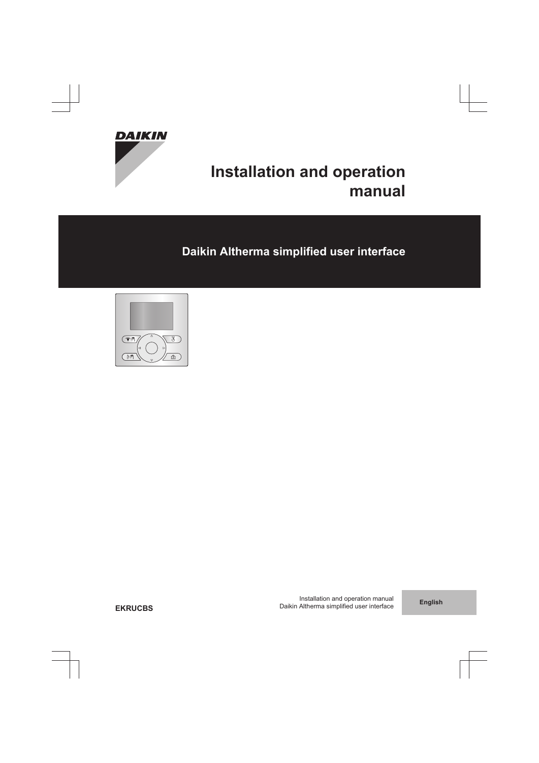

# **Installation and operation manual**

**Daikin Altherma simplified user interface**



Installation and operation manual Daikin Altherma simplified user interface **English**

**EKRUCBS**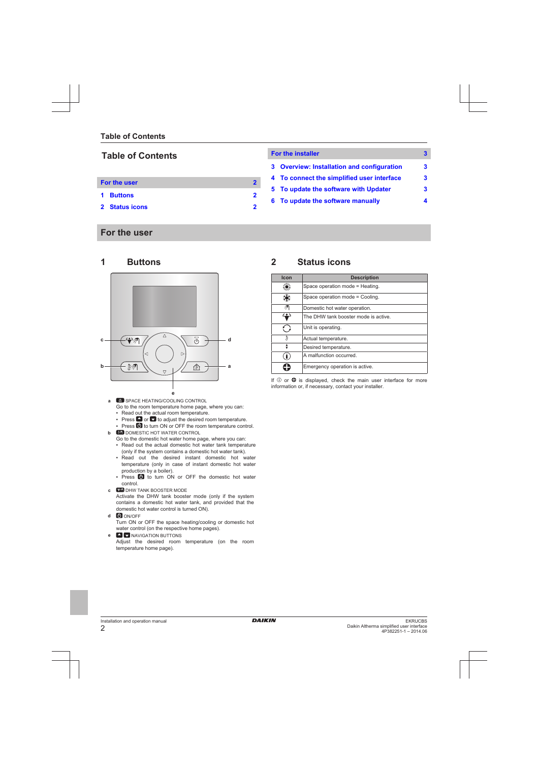### **Table of Contents**

#### **For the user 2**

- **1 Buttons 2**
- **2 Status icons 2**

### **For the user**

### **1 Buttons**



- **a**  $\textcircled{a}$  SPACE HEATING/COOLING CONTROL Go to the room temperature home page, where you can:
	- Read out the actual room temperature.
	- $\bullet$  Press  $\bullet$  or  $\bullet$  to adjust the desired room temperature.
- Press to turn ON or OFF the room temperature control. **b DOMESTIC HOT WATER CONTROL**
- - Go to the domestic hot water home page, where you can: ▪ Read out the actual domestic hot water tank temperature (only if the system contains a domestic hot water tank).
	- Read out the desired instant domestic hot water temperature (only in case of instant domestic hot water production by a boiler).
	- Press **to** to turn ON or OFF the domestic hot water control.
- **c**  $\boxed{P}$  DHW TANK BOOSTER MODE

Activate the DHW tank booster mode (only if the system contains a domestic hot water tank, and provided that the domestic hot water control is turned ON).

**d** ON/OFF

Turn ON or OFF the space heating/cooling or domestic hot water control (on the respective home pages).

**e**  $\Box$  **NAVIGATION BUTTONS** 

Adjust the desired room temperature (on the room temperature home page).

## **For the installer 3 3 [Overview: Inst](#page-2-0)allatio[n a](#page-2-0)nd configuration 3 4 [To connect th](#page-2-0)e simpl[ifi](#page-2-0)ed user interface 3 5 [To update](#page-2-0) the softwa[re](#page-2-0) with Updater 3 6 [To upd](#page-3-0)ate the softwa[re](#page-3-0) manually 4**

## **2 Status icons**

| <b>Icon</b> | <b>Description</b>                   |
|-------------|--------------------------------------|
| ░           | Space operation mode = Heating.      |
|             | Space operation mode = Cooling.      |
| 洌           | Domestic hot water operation.        |
| ع           | The DHW tank booster mode is active. |
|             | Unit is operating.                   |
| 庹           | Actual temperature.                  |
|             | Desired temperature.                 |
| Ð           | A malfunction occurred.              |
|             | Emergency operation is active.       |

If  $\odot$  or  $\bigcirc$  is displayed, check the main user interface for more information or, if necessary, contact your installer.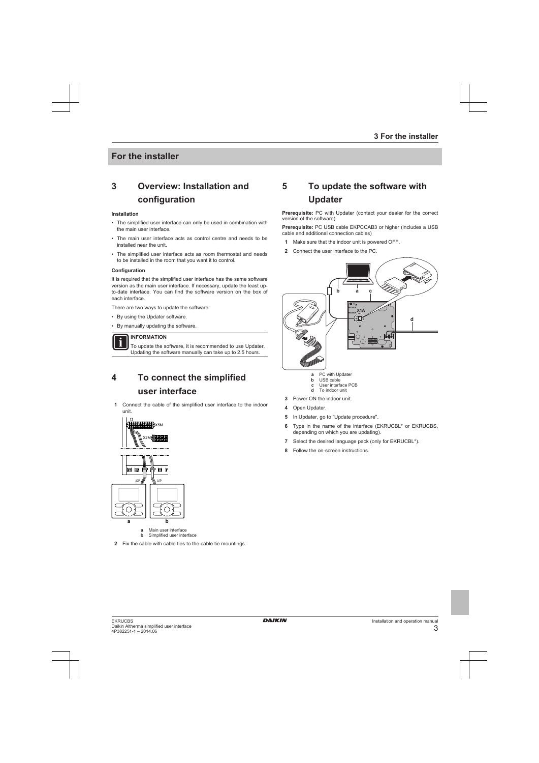### <span id="page-2-0"></span>**For the installer**

## **3 Overview: Installation and configuration**

#### **Installation**

- The simplified user interface can only be used in combination with the main user interface.
- The main user interface acts as control centre and needs to be installed near the unit.
- The simplified user interface acts as room thermostat and needs to be installed in the room that you want it to control.

#### **Configuration**

It is required that the simplified user interface has the same software version as the main user interface. If necessary, update the least upto-date interface. You can find the software version on the box of each interface.

There are two ways to update the software:

- By using the Updater software.
- By manually updating the software.

#### **INFORMATION**

To update the software, it is recommended to use Updater. Updating the software manually can take up to 2.5 hours.

## **4 To connect the simplified user interface**

**1** Connect the cable of the simplified user interface to the indoor unit.





- **b** Simplified user interface
- **2** Fix the cable with cable ties to the cable tie mountings.

## **5 To update the software with Updater**

Prerequisite: PC with Updater (contact your dealer for the correct version of the software)

**Prerequisite: PC USB cable EKPCCAB3 or higher (includes a USB)** cable and additional connection cables)

- **1** Make sure that the indoor unit is powered OFF.
- **2** Connect the user interface to the PC.



- **a** PC with Updater<br>**b** USB cable USB cable
- **c** User interface PCB<br>**d** To indoor unit
- **d** To indoor unit
- **3** Power ON the indoor unit.
- **4** Open Updater.
- **5** In Updater, go to "Update procedure".
- **6** Type in the name of the interface (EKRUCBL\* or EKRUCBS, depending on which you are updating).
- **7** Select the desired language pack (only for EKRUCBL\*).
- **8** Follow the on-screen instructions.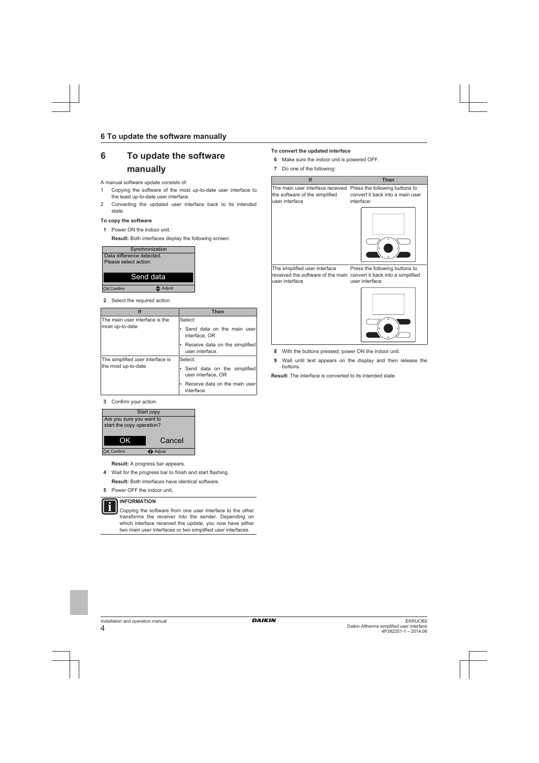## <span id="page-3-0"></span>**6 To update the software manually**

A manual software update consists of:

- 1 Copying the software of the most up-to-date user interface to the least up-to-date user interface.
- 2 Converting the updated user interface back to its intended state.

#### **To copy the software**

**1** Power ON the indoor unit.

**Result:** Both interfaces display the following screen:



**2** Select the required action:

| If                               | <b>Then</b>                                         |
|----------------------------------|-----------------------------------------------------|
| The main user interface is the   | Select:                                             |
| most up-to-date                  | • Send data on the main user<br>interface, OR       |
|                                  | • Receive data on the simplified<br>user interface. |
| The simplified user interface is | Select:                                             |
| the most up-to-date              | • Send data on the simplified<br>user interface. OR |
|                                  | Receive data on the main user<br>interface.         |

**3** Confirm your action.



**Result:** A progress bar appears.

- **4** Wait for the progress bar to finish and start flashing.
- **Result:** Both interfaces have identical software.
- **5** Power OFF the indoor unit.

#### **INFORMATION**

Copying the software from one user interface to the other transforms the receiver into the sender. Depending on which interface received the update, you now have either two main user interfaces or two simplified user interfaces.

#### **To convert the updated interface**

- **6** Make sure the indoor unit is powered OFF.
- **7** Do one of the following:

| If                                                                                   | <b>Then</b>                                                                            |
|--------------------------------------------------------------------------------------|----------------------------------------------------------------------------------------|
| The main user interface received<br>the software of the simplified<br>user interface | Press the following buttons to<br>convert it back into a main user<br>interface:       |
|                                                                                      | d                                                                                      |
| The simplified user interface<br>received the software of the main<br>user interface | Press the following buttons to<br>convert it back into a simplified<br>user interface: |
|                                                                                      |                                                                                        |

- **8** With the buttons pressed, power ON the indoor unit.
- **9** Wait until text appears on the display and then release the buttons.

**Result:** The interface is converted to its intended state.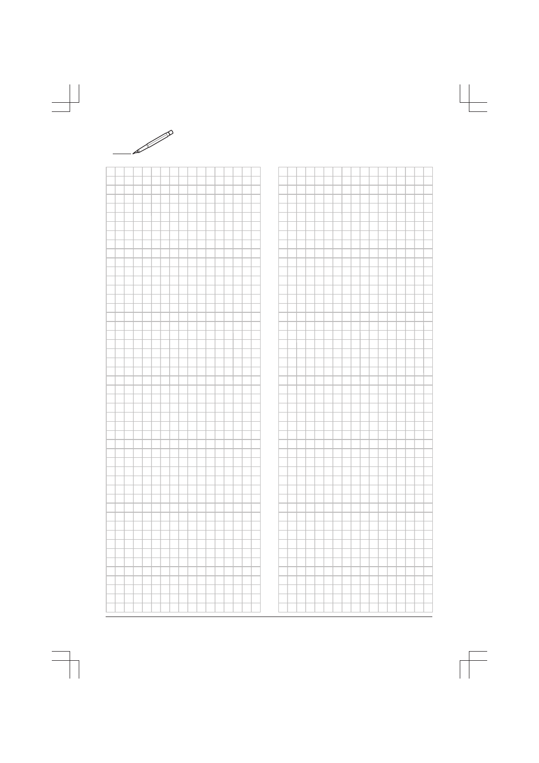

| a sa ta |  |  |  |  |  |  |  |  |  |  |  |  |  |  |  |  |  |
|---------|--|--|--|--|--|--|--|--|--|--|--|--|--|--|--|--|--|
|         |  |  |  |  |  |  |  |  |  |  |  |  |  |  |  |  |  |
|         |  |  |  |  |  |  |  |  |  |  |  |  |  |  |  |  |  |
|         |  |  |  |  |  |  |  |  |  |  |  |  |  |  |  |  |  |
|         |  |  |  |  |  |  |  |  |  |  |  |  |  |  |  |  |  |
|         |  |  |  |  |  |  |  |  |  |  |  |  |  |  |  |  |  |
|         |  |  |  |  |  |  |  |  |  |  |  |  |  |  |  |  |  |
|         |  |  |  |  |  |  |  |  |  |  |  |  |  |  |  |  |  |
|         |  |  |  |  |  |  |  |  |  |  |  |  |  |  |  |  |  |
|         |  |  |  |  |  |  |  |  |  |  |  |  |  |  |  |  |  |
|         |  |  |  |  |  |  |  |  |  |  |  |  |  |  |  |  |  |
|         |  |  |  |  |  |  |  |  |  |  |  |  |  |  |  |  |  |
|         |  |  |  |  |  |  |  |  |  |  |  |  |  |  |  |  |  |
|         |  |  |  |  |  |  |  |  |  |  |  |  |  |  |  |  |  |
|         |  |  |  |  |  |  |  |  |  |  |  |  |  |  |  |  |  |
|         |  |  |  |  |  |  |  |  |  |  |  |  |  |  |  |  |  |
|         |  |  |  |  |  |  |  |  |  |  |  |  |  |  |  |  |  |
|         |  |  |  |  |  |  |  |  |  |  |  |  |  |  |  |  |  |
|         |  |  |  |  |  |  |  |  |  |  |  |  |  |  |  |  |  |
|         |  |  |  |  |  |  |  |  |  |  |  |  |  |  |  |  |  |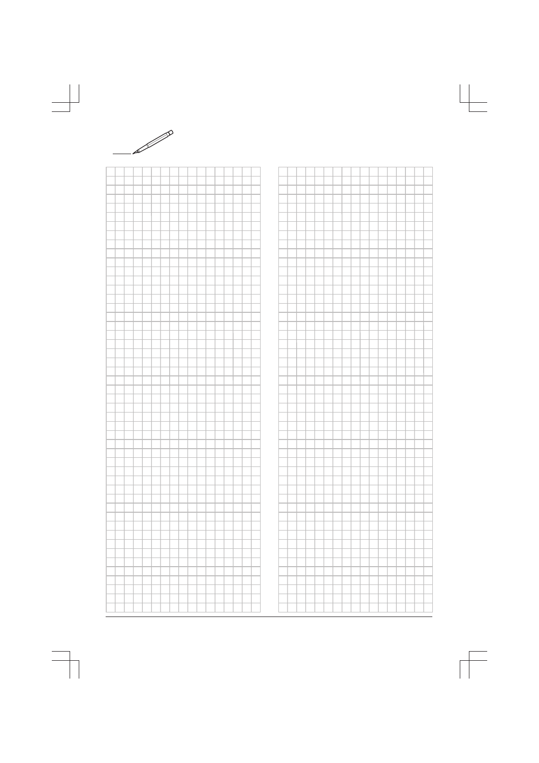

| a sa ta |  |  |  |  |  |  |  |  |  |  |  |  |  |  |  |  |  |
|---------|--|--|--|--|--|--|--|--|--|--|--|--|--|--|--|--|--|
|         |  |  |  |  |  |  |  |  |  |  |  |  |  |  |  |  |  |
|         |  |  |  |  |  |  |  |  |  |  |  |  |  |  |  |  |  |
|         |  |  |  |  |  |  |  |  |  |  |  |  |  |  |  |  |  |
|         |  |  |  |  |  |  |  |  |  |  |  |  |  |  |  |  |  |
|         |  |  |  |  |  |  |  |  |  |  |  |  |  |  |  |  |  |
|         |  |  |  |  |  |  |  |  |  |  |  |  |  |  |  |  |  |
|         |  |  |  |  |  |  |  |  |  |  |  |  |  |  |  |  |  |
|         |  |  |  |  |  |  |  |  |  |  |  |  |  |  |  |  |  |
|         |  |  |  |  |  |  |  |  |  |  |  |  |  |  |  |  |  |
|         |  |  |  |  |  |  |  |  |  |  |  |  |  |  |  |  |  |
|         |  |  |  |  |  |  |  |  |  |  |  |  |  |  |  |  |  |
|         |  |  |  |  |  |  |  |  |  |  |  |  |  |  |  |  |  |
|         |  |  |  |  |  |  |  |  |  |  |  |  |  |  |  |  |  |
|         |  |  |  |  |  |  |  |  |  |  |  |  |  |  |  |  |  |
|         |  |  |  |  |  |  |  |  |  |  |  |  |  |  |  |  |  |
|         |  |  |  |  |  |  |  |  |  |  |  |  |  |  |  |  |  |
|         |  |  |  |  |  |  |  |  |  |  |  |  |  |  |  |  |  |
|         |  |  |  |  |  |  |  |  |  |  |  |  |  |  |  |  |  |
|         |  |  |  |  |  |  |  |  |  |  |  |  |  |  |  |  |  |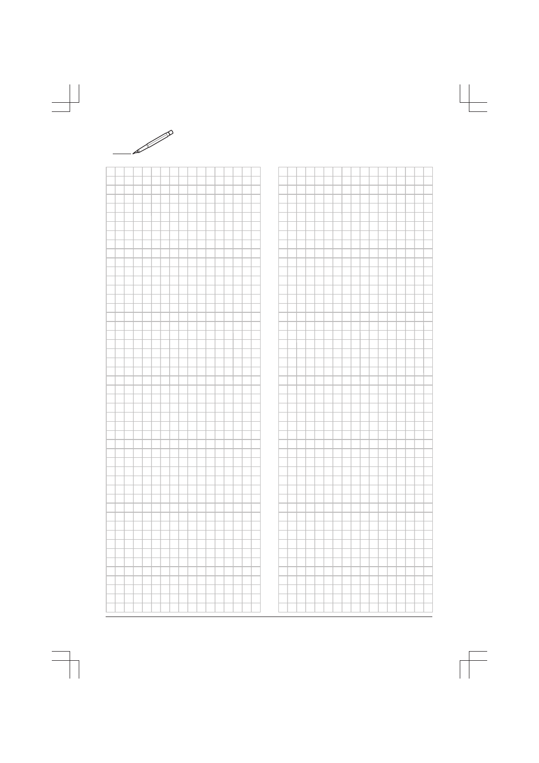

| a sa ta |  |  |  |  |  |  |  |  |  |  |  |  |  |  |  |  |  |
|---------|--|--|--|--|--|--|--|--|--|--|--|--|--|--|--|--|--|
|         |  |  |  |  |  |  |  |  |  |  |  |  |  |  |  |  |  |
|         |  |  |  |  |  |  |  |  |  |  |  |  |  |  |  |  |  |
|         |  |  |  |  |  |  |  |  |  |  |  |  |  |  |  |  |  |
|         |  |  |  |  |  |  |  |  |  |  |  |  |  |  |  |  |  |
|         |  |  |  |  |  |  |  |  |  |  |  |  |  |  |  |  |  |
|         |  |  |  |  |  |  |  |  |  |  |  |  |  |  |  |  |  |
|         |  |  |  |  |  |  |  |  |  |  |  |  |  |  |  |  |  |
|         |  |  |  |  |  |  |  |  |  |  |  |  |  |  |  |  |  |
|         |  |  |  |  |  |  |  |  |  |  |  |  |  |  |  |  |  |
|         |  |  |  |  |  |  |  |  |  |  |  |  |  |  |  |  |  |
|         |  |  |  |  |  |  |  |  |  |  |  |  |  |  |  |  |  |
|         |  |  |  |  |  |  |  |  |  |  |  |  |  |  |  |  |  |
|         |  |  |  |  |  |  |  |  |  |  |  |  |  |  |  |  |  |
|         |  |  |  |  |  |  |  |  |  |  |  |  |  |  |  |  |  |
|         |  |  |  |  |  |  |  |  |  |  |  |  |  |  |  |  |  |
|         |  |  |  |  |  |  |  |  |  |  |  |  |  |  |  |  |  |
|         |  |  |  |  |  |  |  |  |  |  |  |  |  |  |  |  |  |
|         |  |  |  |  |  |  |  |  |  |  |  |  |  |  |  |  |  |
|         |  |  |  |  |  |  |  |  |  |  |  |  |  |  |  |  |  |